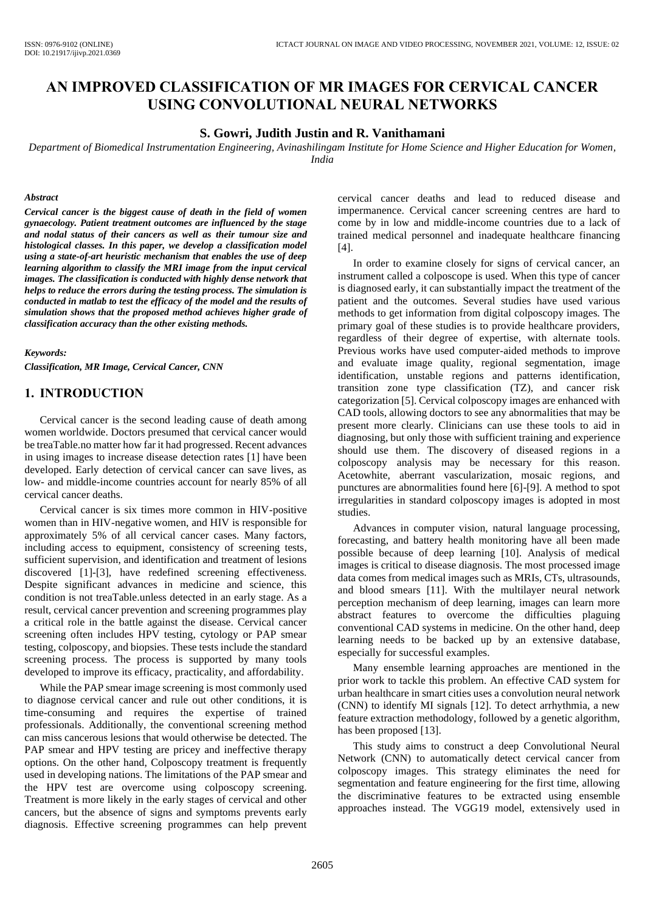# **AN IMPROVED CLASSIFICATION OF MR IMAGES FOR CERVICAL CANCER USING CONVOLUTIONAL NEURAL NETWORKS**

#### **S. Gowri, Judith Justin and R. Vanithamani**

*Department of Biomedical Instrumentation Engineering, Avinashilingam Institute for Home Science and Higher Education for Women, India*

#### *Abstract*

*Cervical cancer is the biggest cause of death in the field of women gynaecology. Patient treatment outcomes are influenced by the stage and nodal status of their cancers as well as their tumour size and histological classes. In this paper, we develop a classification model using a state-of-art heuristic mechanism that enables the use of deep learning algorithm to classify the MRI image from the input cervical images. The classification is conducted with highly dense network that helps to reduce the errors during the testing process. The simulation is conducted in matlab to test the efficacy of the model and the results of simulation shows that the proposed method achieves higher grade of classification accuracy than the other existing methods.*

#### *Keywords:*

*Classification, MR Image, Cervical Cancer, CNN*

### **1. INTRODUCTION**

Cervical cancer is the second leading cause of death among women worldwide. Doctors presumed that cervical cancer would be treaTable.no matter how far it had progressed. Recent advances in using images to increase disease detection rates [1] have been developed. Early detection of cervical cancer can save lives, as low- and middle-income countries account for nearly 85% of all cervical cancer deaths.

Cervical cancer is six times more common in HIV-positive women than in HIV-negative women, and HIV is responsible for approximately 5% of all cervical cancer cases. Many factors, including access to equipment, consistency of screening tests, sufficient supervision, and identification and treatment of lesions discovered [1]-[3], have redefined screening effectiveness. Despite significant advances in medicine and science, this condition is not treaTable.unless detected in an early stage. As a result, cervical cancer prevention and screening programmes play a critical role in the battle against the disease. Cervical cancer screening often includes HPV testing, cytology or PAP smear testing, colposcopy, and biopsies. These tests include the standard screening process. The process is supported by many tools developed to improve its efficacy, practicality, and affordability.

While the PAP smear image screening is most commonly used to diagnose cervical cancer and rule out other conditions, it is time-consuming and requires the expertise of trained professionals. Additionally, the conventional screening method can miss cancerous lesions that would otherwise be detected. The PAP smear and HPV testing are pricey and ineffective therapy options. On the other hand, Colposcopy treatment is frequently used in developing nations. The limitations of the PAP smear and the HPV test are overcome using colposcopy screening. Treatment is more likely in the early stages of cervical and other cancers, but the absence of signs and symptoms prevents early diagnosis. Effective screening programmes can help prevent cervical cancer deaths and lead to reduced disease and impermanence. Cervical cancer screening centres are hard to come by in low and middle-income countries due to a lack of trained medical personnel and inadequate healthcare financing [4].

In order to examine closely for signs of cervical cancer, an instrument called a colposcope is used. When this type of cancer is diagnosed early, it can substantially impact the treatment of the patient and the outcomes. Several studies have used various methods to get information from digital colposcopy images. The primary goal of these studies is to provide healthcare providers, regardless of their degree of expertise, with alternate tools. Previous works have used computer-aided methods to improve and evaluate image quality, regional segmentation, image identification, unstable regions and patterns identification, transition zone type classification (TZ), and cancer risk categorization [5]. Cervical colposcopy images are enhanced with CAD tools, allowing doctors to see any abnormalities that may be present more clearly. Clinicians can use these tools to aid in diagnosing, but only those with sufficient training and experience should use them. The discovery of diseased regions in a colposcopy analysis may be necessary for this reason. Acetowhite, aberrant vascularization, mosaic regions, and punctures are abnormalities found here [6]-[9]. A method to spot irregularities in standard colposcopy images is adopted in most studies.

Advances in computer vision, natural language processing, forecasting, and battery health monitoring have all been made possible because of deep learning [10]. Analysis of medical images is critical to disease diagnosis. The most processed image data comes from medical images such as MRIs, CTs, ultrasounds, and blood smears [11]. With the multilayer neural network perception mechanism of deep learning, images can learn more abstract features to overcome the difficulties plaguing conventional CAD systems in medicine. On the other hand, deep learning needs to be backed up by an extensive database, especially for successful examples.

Many ensemble learning approaches are mentioned in the prior work to tackle this problem. An effective CAD system for urban healthcare in smart cities uses a convolution neural network (CNN) to identify MI signals [12]. To detect arrhythmia, a new feature extraction methodology, followed by a genetic algorithm, has been proposed [13].

This study aims to construct a deep Convolutional Neural Network (CNN) to automatically detect cervical cancer from colposcopy images. This strategy eliminates the need for segmentation and feature engineering for the first time, allowing the discriminative features to be extracted using ensemble approaches instead. The VGG19 model, extensively used in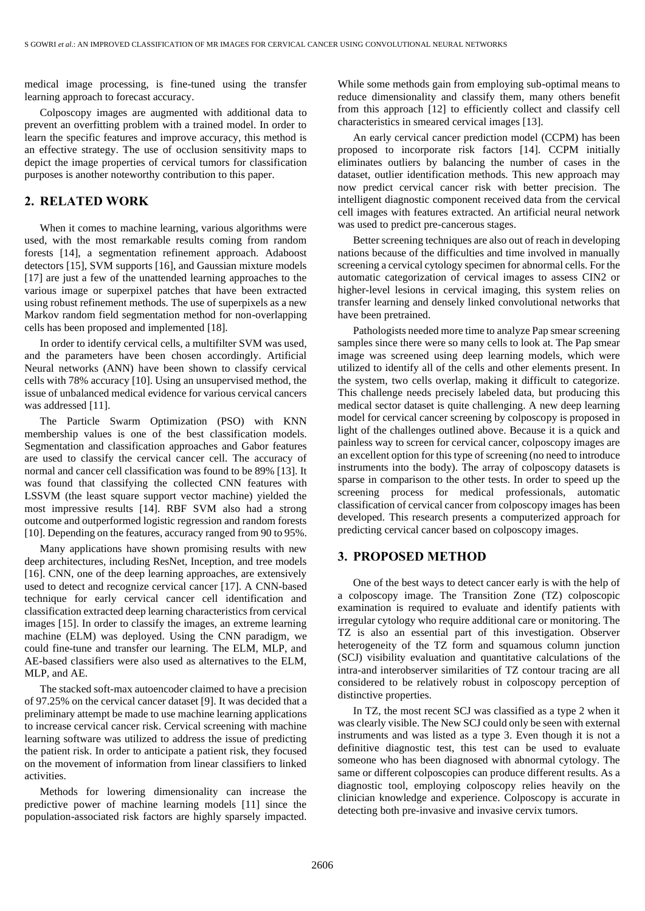medical image processing, is fine-tuned using the transfer learning approach to forecast accuracy.

Colposcopy images are augmented with additional data to prevent an overfitting problem with a trained model. In order to learn the specific features and improve accuracy, this method is an effective strategy. The use of occlusion sensitivity maps to depict the image properties of cervical tumors for classification purposes is another noteworthy contribution to this paper.

## **2. RELATED WORK**

When it comes to machine learning, various algorithms were used, with the most remarkable results coming from random forests [14], a segmentation refinement approach. Adaboost detectors [15], SVM supports [16], and Gaussian mixture models [17] are just a few of the unattended learning approaches to the various image or superpixel patches that have been extracted using robust refinement methods. The use of superpixels as a new Markov random field segmentation method for non-overlapping cells has been proposed and implemented [18].

In order to identify cervical cells, a multifilter SVM was used, and the parameters have been chosen accordingly. Artificial Neural networks (ANN) have been shown to classify cervical cells with 78% accuracy [10]. Using an unsupervised method, the issue of unbalanced medical evidence for various cervical cancers was addressed [11].

The Particle Swarm Optimization (PSO) with KNN membership values is one of the best classification models. Segmentation and classification approaches and Gabor features are used to classify the cervical cancer cell. The accuracy of normal and cancer cell classification was found to be 89% [13]. It was found that classifying the collected CNN features with LSSVM (the least square support vector machine) yielded the most impressive results [14]. RBF SVM also had a strong outcome and outperformed logistic regression and random forests [10]. Depending on the features, accuracy ranged from 90 to 95%.

Many applications have shown promising results with new deep architectures, including ResNet, Inception, and tree models [16]. CNN, one of the deep learning approaches, are extensively used to detect and recognize cervical cancer [17]. A CNN-based technique for early cervical cancer cell identification and classification extracted deep learning characteristics from cervical images [15]. In order to classify the images, an extreme learning machine (ELM) was deployed. Using the CNN paradigm, we could fine-tune and transfer our learning. The ELM, MLP, and AE-based classifiers were also used as alternatives to the ELM, MLP, and AE.

The stacked soft-max autoencoder claimed to have a precision of 97.25% on the cervical cancer dataset [9]. It was decided that a preliminary attempt be made to use machine learning applications to increase cervical cancer risk. Cervical screening with machine learning software was utilized to address the issue of predicting the patient risk. In order to anticipate a patient risk, they focused on the movement of information from linear classifiers to linked activities.

Methods for lowering dimensionality can increase the predictive power of machine learning models [11] since the population-associated risk factors are highly sparsely impacted.

While some methods gain from employing sub-optimal means to reduce dimensionality and classify them, many others benefit from this approach [12] to efficiently collect and classify cell characteristics in smeared cervical images [13].

An early cervical cancer prediction model (CCPM) has been proposed to incorporate risk factors [14]. CCPM initially eliminates outliers by balancing the number of cases in the dataset, outlier identification methods. This new approach may now predict cervical cancer risk with better precision. The intelligent diagnostic component received data from the cervical cell images with features extracted. An artificial neural network was used to predict pre-cancerous stages.

Better screening techniques are also out of reach in developing nations because of the difficulties and time involved in manually screening a cervical cytology specimen for abnormal cells. For the automatic categorization of cervical images to assess CIN2 or higher-level lesions in cervical imaging, this system relies on transfer learning and densely linked convolutional networks that have been pretrained.

Pathologists needed more time to analyze Pap smear screening samples since there were so many cells to look at. The Pap smear image was screened using deep learning models, which were utilized to identify all of the cells and other elements present. In the system, two cells overlap, making it difficult to categorize. This challenge needs precisely labeled data, but producing this medical sector dataset is quite challenging. A new deep learning model for cervical cancer screening by colposcopy is proposed in light of the challenges outlined above. Because it is a quick and painless way to screen for cervical cancer, colposcopy images are an excellent option for this type of screening (no need to introduce instruments into the body). The array of colposcopy datasets is sparse in comparison to the other tests. In order to speed up the screening process for medical professionals, automatic classification of cervical cancer from colposcopy images has been developed. This research presents a computerized approach for predicting cervical cancer based on colposcopy images.

## **3. PROPOSED METHOD**

One of the best ways to detect cancer early is with the help of a colposcopy image. The Transition Zone (TZ) colposcopic examination is required to evaluate and identify patients with irregular cytology who require additional care or monitoring. The TZ is also an essential part of this investigation. Observer heterogeneity of the TZ form and squamous column junction (SCJ) visibility evaluation and quantitative calculations of the intra-and interobserver similarities of TZ contour tracing are all considered to be relatively robust in colposcopy perception of distinctive properties.

In TZ, the most recent SCJ was classified as a type 2 when it was clearly visible. The New SCJ could only be seen with external instruments and was listed as a type 3. Even though it is not a definitive diagnostic test, this test can be used to evaluate someone who has been diagnosed with abnormal cytology. The same or different colposcopies can produce different results. As a diagnostic tool, employing colposcopy relies heavily on the clinician knowledge and experience. Colposcopy is accurate in detecting both pre-invasive and invasive cervix tumors.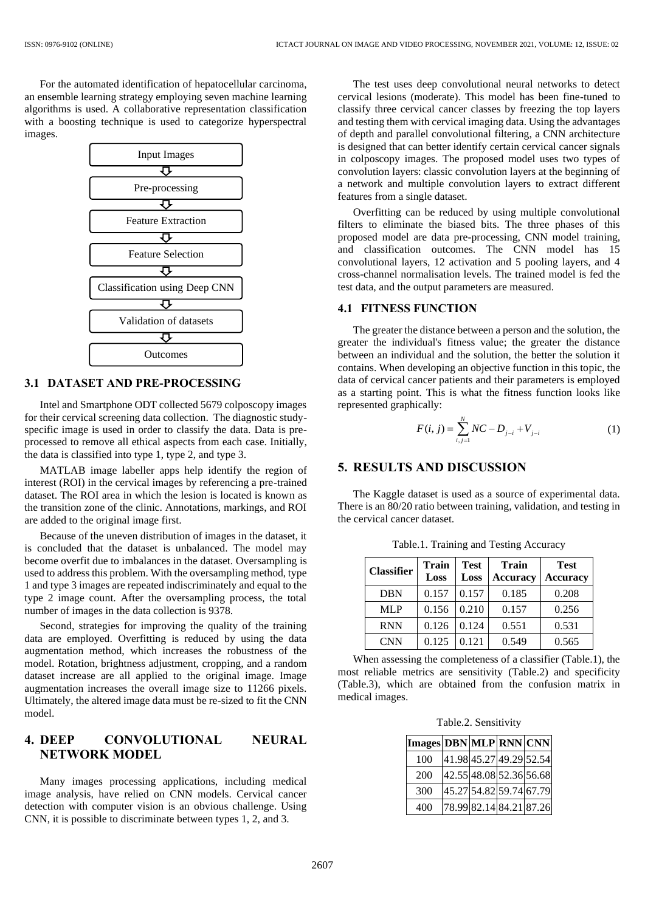For the automated identification of hepatocellular carcinoma, an ensemble learning strategy employing seven machine learning algorithms is used. A collaborative representation classification with a boosting technique is used to categorize hyperspectral images.



#### **3.1 DATASET AND PRE-PROCESSING**

Intel and Smartphone ODT collected 5679 colposcopy images for their cervical screening data collection. The diagnostic studyspecific image is used in order to classify the data. Data is preprocessed to remove all ethical aspects from each case. Initially, the data is classified into type 1, type 2, and type 3.

MATLAB image labeller apps help identify the region of interest (ROI) in the cervical images by referencing a pre-trained dataset. The ROI area in which the lesion is located is known as the transition zone of the clinic. Annotations, markings, and ROI are added to the original image first.

Because of the uneven distribution of images in the dataset, it is concluded that the dataset is unbalanced. The model may become overfit due to imbalances in the dataset. Oversampling is used to address this problem. With the oversampling method, type 1 and type 3 images are repeated indiscriminately and equal to the type 2 image count. After the oversampling process, the total number of images in the data collection is 9378.

Second, strategies for improving the quality of the training data are employed. Overfitting is reduced by using the data augmentation method, which increases the robustness of the model. Rotation, brightness adjustment, cropping, and a random dataset increase are all applied to the original image. Image augmentation increases the overall image size to 11266 pixels. Ultimately, the altered image data must be re-sized to fit the CNN model.

## **4. DEEP CONVOLUTIONAL NEURAL NETWORK MODEL**

Many images processing applications, including medical image analysis, have relied on CNN models. Cervical cancer detection with computer vision is an obvious challenge. Using CNN, it is possible to discriminate between types 1, 2, and 3.

The test uses deep convolutional neural networks to detect cervical lesions (moderate). This model has been fine-tuned to classify three cervical cancer classes by freezing the top layers and testing them with cervical imaging data. Using the advantages of depth and parallel convolutional filtering, a CNN architecture is designed that can better identify certain cervical cancer signals in colposcopy images. The proposed model uses two types of convolution layers: classic convolution layers at the beginning of a network and multiple convolution layers to extract different features from a single dataset.

Overfitting can be reduced by using multiple convolutional filters to eliminate the biased bits. The three phases of this proposed model are data pre-processing, CNN model training, and classification outcomes. The CNN model has 15 convolutional layers, 12 activation and 5 pooling layers, and 4 cross-channel normalisation levels. The trained model is fed the test data, and the output parameters are measured.

### **4.1 FITNESS FUNCTION**

The greater the distance between a person and the solution, the greater the individual's fitness value; the greater the distance between an individual and the solution, the better the solution it contains. When developing an objective function in this topic, the data of cervical cancer patients and their parameters is employed as a starting point. This is what the fitness function looks like represented graphically:

$$
F(i, j) = \sum_{i,j=1}^{N} NC - D_{j-i} + V_{j-i}
$$
 (1)

## **5. RESULTS AND DISCUSSION**

The Kaggle dataset is used as a source of experimental data. There is an 80/20 ratio between training, validation, and testing in the cervical cancer dataset.

| <b>Classifier</b> | <b>Train</b><br>Loss | <b>Test</b><br>Loss | <b>Train</b><br><b>Accuracy</b> | <b>Test</b><br><b>Accuracy</b> |
|-------------------|----------------------|---------------------|---------------------------------|--------------------------------|
| <b>DBN</b>        | 0.157                | 0.157               | 0.185                           | 0.208                          |
| <b>MLP</b>        | 0.156                | 0.210               | 0.157                           | 0.256                          |
| <b>RNN</b>        | 0.126                | 0.124               | 0.551                           | 0.531                          |
| <b>CNN</b>        | 0.125                | 0.121               | 0.549                           | 0.565                          |

Table.1. Training and Testing Accuracy

When assessing the completeness of a classifier (Table.1), the most reliable metrics are sensitivity (Table.2) and specificity (Table.3), which are obtained from the confusion matrix in medical images.

|  | Table.2. Sensitivity |
|--|----------------------|
|--|----------------------|

| Images DBN MLP RNN CNN |  |                         |                         |
|------------------------|--|-------------------------|-------------------------|
| 100                    |  | 41.98 45.27 49.29 52.54 |                         |
| 200                    |  |                         | 42.55 48.08 52.36 56.68 |
| 300                    |  |                         | 45.27 54.82 59.74 67.79 |
| 400                    |  | 78.99 82.14 84.21 87.26 |                         |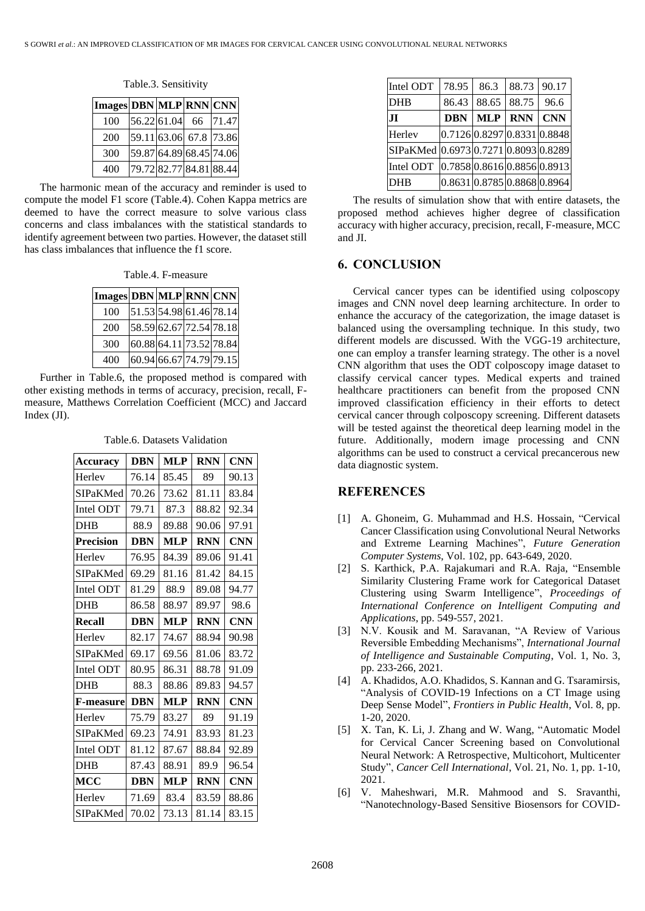| Images DBN MLP RNN CNN |                          |  |
|------------------------|--------------------------|--|
| 100                    | $ 56.22 61.04 $ 66 71.47 |  |
| 200                    | 59.11 63.06 67.8 73.86   |  |
| 300                    | 59.87 64.89 68.45 74.06  |  |
| 400                    | 79.72 82.77 84.81 88.44  |  |

The harmonic mean of the accuracy and reminder is used to compute the model F1 score (Table.4). Cohen Kappa metrics are deemed to have the correct measure to solve various class concerns and class imbalances with the statistical standards to identify agreement between two parties. However, the dataset still has class imbalances that influence the f1 score.

Table.4. F-measure

| Images DBN MLP RNN CNN |                         |                         |
|------------------------|-------------------------|-------------------------|
| 100                    |                         | 51.53 54.98 61.46 78.14 |
| 200                    |                         | 58.59 62.67 72.54 78.18 |
| 300                    | 60.88 64.11 73.52 78.84 |                         |
| 400                    |                         | 60.94 66.67 74.79 79.15 |

Further in Table.6, the proposed method is compared with other existing methods in terms of accuracy, precision, recall, Fmeasure, Matthews Correlation Coefficient (MCC) and Jaccard Index (JI).

| Table.6. Datasets Validation |
|------------------------------|
|                              |

| <b>Accuracy</b>  | <b>DBN</b> | <b>MLP</b> | <b>RNN</b> | <b>CNN</b> |
|------------------|------------|------------|------------|------------|
| Herley           | 76.14      | 85.45      | 89         | 90.13      |
| SIPaKMed         | 70.26      | 73.62      | 81.11      | 83.84      |
| Intel ODT        | 79.71      | 87.3       | 88.82      | 92.34      |
| <b>DHB</b>       | 88.9       | 89.88      | 90.06      | 97.91      |
| <b>Precision</b> | <b>DBN</b> | <b>MLP</b> | <b>RNN</b> | <b>CNN</b> |
| Herley           | 76.95      | 84.39      | 89.06      | 91.41      |
| SIPaKMed         | 69.29      | 81.16      | 81.42      | 84.15      |
| Intel ODT        | 81.29      | 88.9       | 89.08      | 94.77      |
| <b>DHB</b>       | 86.58      | 88.97      | 89.97      | 98.6       |
| <b>Recall</b>    | <b>DBN</b> | <b>MLP</b> | <b>RNN</b> | <b>CNN</b> |
| Herley           | 82.17      | 74.67      | 88.94      | 90.98      |
| <b>SIPaKMed</b>  | 69.17      | 69.56      | 81.06      | 83.72      |
| Intel ODT        | 80.95      | 86.31      | 88.78      | 91.09      |
| <b>DHB</b>       | 88.3       | 88.86      | 89.83      | 94.57      |
| <b>F-measure</b> | <b>DBN</b> | <b>MLP</b> | <b>RNN</b> | <b>CNN</b> |
| Herley           | 75.79      | 83.27      | 89         | 91.19      |
| SIPaKMed         | 69.23      | 74.91      | 83.93      | 81.23      |
| Intel ODT        | 81.12      | 87.67      | 88.84      | 92.89      |
| <b>DHB</b>       | 87.43      | 88.91      | 89.9       | 96.54      |
| MCC              | <b>DBN</b> | <b>MLP</b> | <b>RNN</b> | <b>CNN</b> |
| Herlev           | 71.69      | 83.4       | 83.59      | 88.86      |
| SIPaKMed         | 70.02      | 73.13      | 81.14      | 83.15      |

| Intel ODT                            | 78.95                       | 86.3       | 88.73      | 90.17                        |
|--------------------------------------|-----------------------------|------------|------------|------------------------------|
| <b>DHB</b>                           | 86.43                       | 88.65      | 88.75      | 96.6                         |
| JI.                                  | <b>DBN</b>                  | <b>MLP</b> | <b>RNN</b> | <b>CNN</b>                   |
| Herley                               | 0.7126 0.8297 0.8331 0.8848 |            |            |                              |
| SIPaKMed 0.6973 0.7271 0.8093 0.8289 |                             |            |            |                              |
| Intel ODT                            |                             |            |            | [0.7858]0.8616]0.8856]0.8913 |
| DHB                                  | 0.8631 0.8785 0.8868 0.8964 |            |            |                              |

The results of simulation show that with entire datasets, the proposed method achieves higher degree of classification accuracy with higher accuracy, precision, recall, F-measure, MCC and JI.

### **6. CONCLUSION**

Cervical cancer types can be identified using colposcopy images and CNN novel deep learning architecture. In order to enhance the accuracy of the categorization, the image dataset is balanced using the oversampling technique. In this study, two different models are discussed. With the VGG-19 architecture, one can employ a transfer learning strategy. The other is a novel CNN algorithm that uses the ODT colposcopy image dataset to classify cervical cancer types. Medical experts and trained healthcare practitioners can benefit from the proposed CNN improved classification efficiency in their efforts to detect cervical cancer through colposcopy screening. Different datasets will be tested against the theoretical deep learning model in the future. Additionally, modern image processing and CNN algorithms can be used to construct a cervical precancerous new data diagnostic system.

## **REFERENCES**

- [1] A. Ghoneim, G. Muhammad and H.S. Hossain, "Cervical Cancer Classification using Convolutional Neural Networks and Extreme Learning Machines", *Future Generation Computer Systems*, Vol. 102, pp. 643-649, 2020.
- [2] S. Karthick, P.A. Rajakumari and R.A. Raja, "Ensemble Similarity Clustering Frame work for Categorical Dataset Clustering using Swarm Intelligence", *Proceedings of International Conference on Intelligent Computing and Applications*, pp. 549-557, 2021.
- [3] N.V. Kousik and M. Saravanan, "A Review of Various Reversible Embedding Mechanisms", *International Journal of Intelligence and Sustainable Computing*, Vol. 1, No. 3, pp. 233-266, 2021.
- [4] A. Khadidos, A.O. Khadidos, S. Kannan and G. Tsaramirsis, "Analysis of COVID-19 Infections on a CT Image using Deep Sense Model", *Frontiers in Public Health*, Vol. 8, pp. 1-20, 2020.
- [5] X. Tan, K. Li, J. Zhang and W. Wang, "Automatic Model for Cervical Cancer Screening based on Convolutional Neural Network: A Retrospective, Multicohort, Multicenter Study", *Cancer Cell International*, Vol. 21, No. 1, pp. 1-10, 2021.
- [6] V. Maheshwari, M.R. Mahmood and S. Sravanthi, "Nanotechnology-Based Sensitive Biosensors for COVID-